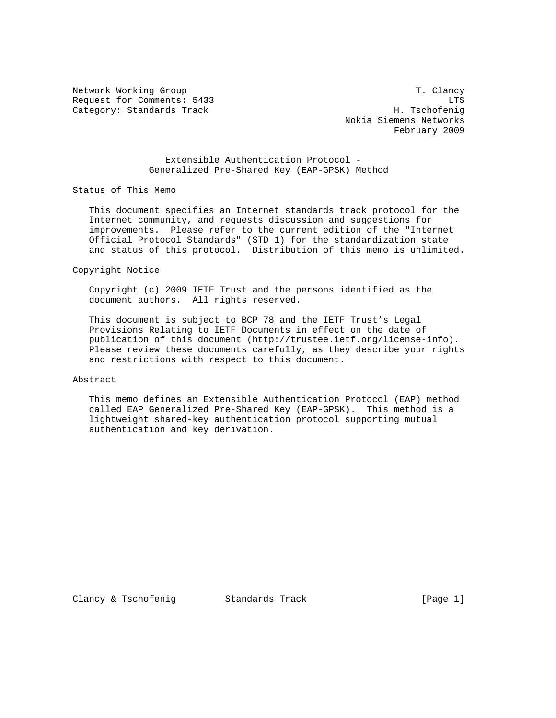Network Working Group T. Clancy Request for Comments: 5433 LTS Category: Standards Track H. Tschofenig

 Nokia Siemens Networks February 2009

 Extensible Authentication Protocol - Generalized Pre-Shared Key (EAP-GPSK) Method

Status of This Memo

 This document specifies an Internet standards track protocol for the Internet community, and requests discussion and suggestions for improvements. Please refer to the current edition of the "Internet Official Protocol Standards" (STD 1) for the standardization state and status of this protocol. Distribution of this memo is unlimited.

Copyright Notice

 Copyright (c) 2009 IETF Trust and the persons identified as the document authors. All rights reserved.

 This document is subject to BCP 78 and the IETF Trust's Legal Provisions Relating to IETF Documents in effect on the date of publication of this document (http://trustee.ietf.org/license-info). Please review these documents carefully, as they describe your rights and restrictions with respect to this document.

#### Abstract

 This memo defines an Extensible Authentication Protocol (EAP) method called EAP Generalized Pre-Shared Key (EAP-GPSK). This method is a lightweight shared-key authentication protocol supporting mutual authentication and key derivation.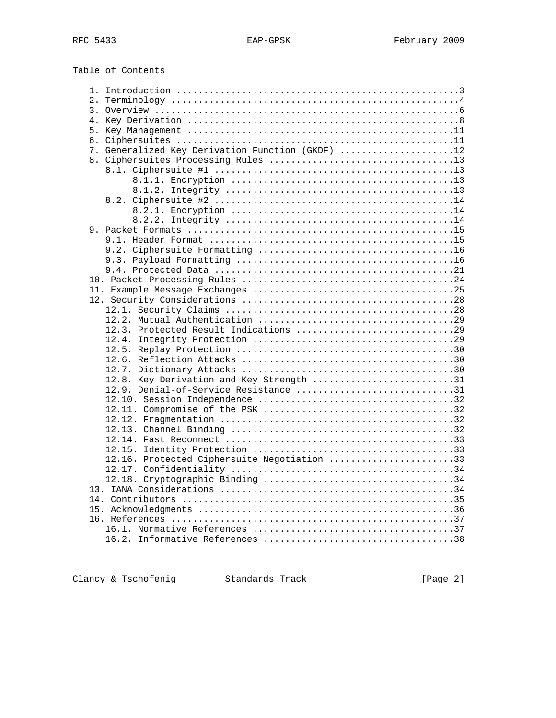Table of Contents

| 7. Generalized Key Derivation Function (GKDF) 12 |  |
|--------------------------------------------------|--|
|                                                  |  |
|                                                  |  |
|                                                  |  |
|                                                  |  |
|                                                  |  |
|                                                  |  |
|                                                  |  |
|                                                  |  |
|                                                  |  |
|                                                  |  |
|                                                  |  |
|                                                  |  |
|                                                  |  |
|                                                  |  |
|                                                  |  |
|                                                  |  |
|                                                  |  |
|                                                  |  |
|                                                  |  |
|                                                  |  |
|                                                  |  |
|                                                  |  |
| 12.8. Key Derivation and Key Strength 31         |  |
| 12.9. Denial-of-Service Resistance 31            |  |
|                                                  |  |
|                                                  |  |
|                                                  |  |
|                                                  |  |
|                                                  |  |
|                                                  |  |
| 12.16. Protected Ciphersuite Negotiation 33      |  |
|                                                  |  |
|                                                  |  |
|                                                  |  |
|                                                  |  |
|                                                  |  |
|                                                  |  |
|                                                  |  |
|                                                  |  |
|                                                  |  |

Clancy & Tschofenig Standards Track [Page 2]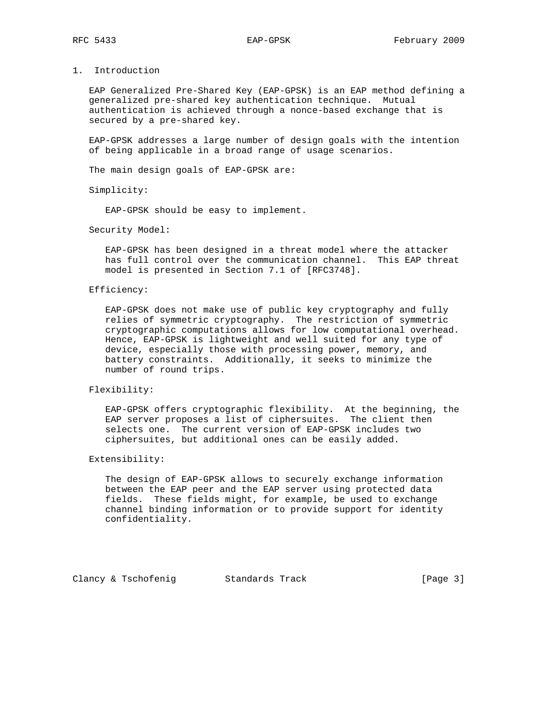# 1. Introduction

 EAP Generalized Pre-Shared Key (EAP-GPSK) is an EAP method defining a generalized pre-shared key authentication technique. Mutual authentication is achieved through a nonce-based exchange that is secured by a pre-shared key.

 EAP-GPSK addresses a large number of design goals with the intention of being applicable in a broad range of usage scenarios.

The main design goals of EAP-GPSK are:

Simplicity:

EAP-GPSK should be easy to implement.

#### Security Model:

 EAP-GPSK has been designed in a threat model where the attacker has full control over the communication channel. This EAP threat model is presented in Section 7.1 of [RFC3748].

#### Efficiency:

 EAP-GPSK does not make use of public key cryptography and fully relies of symmetric cryptography. The restriction of symmetric cryptographic computations allows for low computational overhead. Hence, EAP-GPSK is lightweight and well suited for any type of device, especially those with processing power, memory, and battery constraints. Additionally, it seeks to minimize the number of round trips.

#### Flexibility:

 EAP-GPSK offers cryptographic flexibility. At the beginning, the EAP server proposes a list of ciphersuites. The client then selects one. The current version of EAP-GPSK includes two ciphersuites, but additional ones can be easily added.

#### Extensibility:

 The design of EAP-GPSK allows to securely exchange information between the EAP peer and the EAP server using protected data fields. These fields might, for example, be used to exchange channel binding information or to provide support for identity confidentiality.

Clancy & Tschofenig Standards Track [Page 3]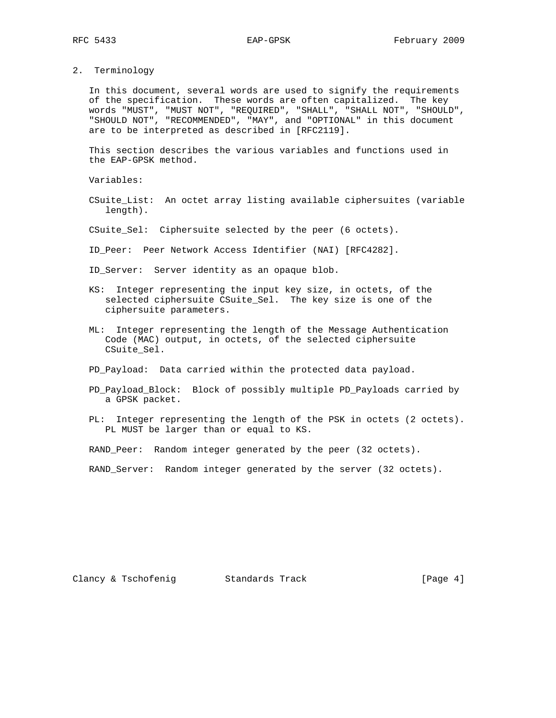2. Terminology

 In this document, several words are used to signify the requirements of the specification. These words are often capitalized. The key words "MUST", "MUST NOT", "REQUIRED", "SHALL", "SHALL NOT", "SHOULD", "SHOULD NOT", "RECOMMENDED", "MAY", and "OPTIONAL" in this document are to be interpreted as described in [RFC2119].

 This section describes the various variables and functions used in the EAP-GPSK method.

Variables:

- CSuite\_List: An octet array listing available ciphersuites (variable length).
- CSuite\_Sel: Ciphersuite selected by the peer (6 octets).
- ID\_Peer: Peer Network Access Identifier (NAI) [RFC4282].

ID\_Server: Server identity as an opaque blob.

- KS: Integer representing the input key size, in octets, of the selected ciphersuite CSuite\_Sel. The key size is one of the ciphersuite parameters.
- ML: Integer representing the length of the Message Authentication Code (MAC) output, in octets, of the selected ciphersuite CSuite\_Sel.
- PD\_Payload: Data carried within the protected data payload.
- PD\_Payload\_Block: Block of possibly multiple PD\_Payloads carried by a GPSK packet.
- PL: Integer representing the length of the PSK in octets (2 octets). PL MUST be larger than or equal to KS.

RAND\_Peer: Random integer generated by the peer (32 octets).

RAND\_Server: Random integer generated by the server (32 octets).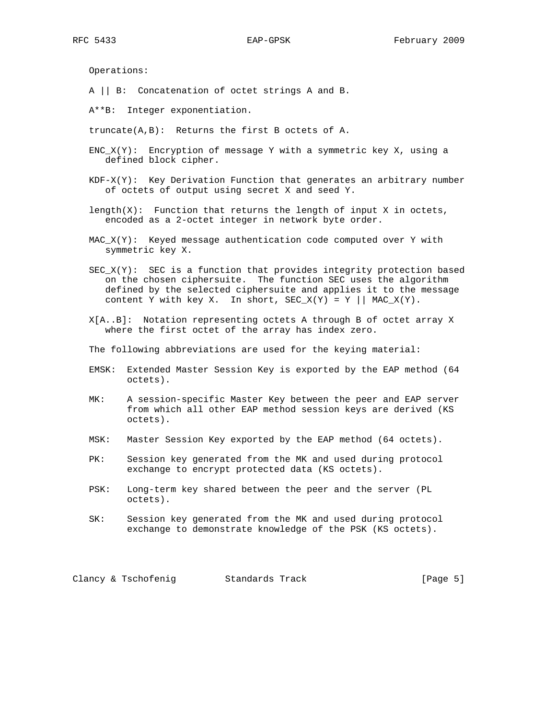Operations:

A || B: Concatenation of octet strings A and B.

A\*\*B: Integer exponentiation.

- truncate(A,B): Returns the first B octets of A.
- $ENC_X(Y):$  Encryption of message Y with a symmetric key X, using a defined block cipher.
- $KDF-X(Y):$  Key Derivation Function that generates an arbitrary number of octets of output using secret X and seed Y.
- $length(X)$ : Function that returns the length of input X in octets, encoded as a 2-octet integer in network byte order.
- $MAC_X(Y):$  Keyed message authentication code computed over Y with symmetric key X.
- $SEC_X(Y):$  SEC is a function that provides integrity protection based on the chosen ciphersuite. The function SEC uses the algorithm defined by the selected ciphersuite and applies it to the message content Y with key X. In short,  $SEC_X(Y) = Y || MAC_X(Y)$ .
- X[A..B]: Notation representing octets A through B of octet array X where the first octet of the array has index zero.
- The following abbreviations are used for the keying material:
- EMSK: Extended Master Session Key is exported by the EAP method (64 octets).
- MK: A session-specific Master Key between the peer and EAP server from which all other EAP method session keys are derived (KS octets).
- MSK: Master Session Key exported by the EAP method (64 octets).
- PK: Session key generated from the MK and used during protocol exchange to encrypt protected data (KS octets).
- PSK: Long-term key shared between the peer and the server (PL octets).
- SK: Session key generated from the MK and used during protocol exchange to demonstrate knowledge of the PSK (KS octets).

Clancy & Tschofenig Standards Track [Page 5]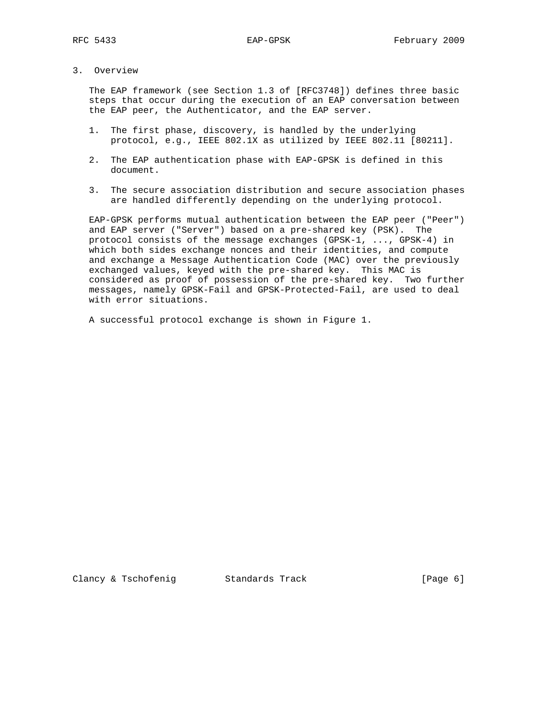# 3. Overview

 The EAP framework (see Section 1.3 of [RFC3748]) defines three basic steps that occur during the execution of an EAP conversation between the EAP peer, the Authenticator, and the EAP server.

- 1. The first phase, discovery, is handled by the underlying protocol, e.g., IEEE 802.1X as utilized by IEEE 802.11 [80211].
- 2. The EAP authentication phase with EAP-GPSK is defined in this document.
- 3. The secure association distribution and secure association phases are handled differently depending on the underlying protocol.

 EAP-GPSK performs mutual authentication between the EAP peer ("Peer") and EAP server ("Server") based on a pre-shared key (PSK). The protocol consists of the message exchanges (GPSK-1, ..., GPSK-4) in which both sides exchange nonces and their identities, and compute and exchange a Message Authentication Code (MAC) over the previously exchanged values, keyed with the pre-shared key. This MAC is considered as proof of possession of the pre-shared key. Two further messages, namely GPSK-Fail and GPSK-Protected-Fail, are used to deal with error situations.

A successful protocol exchange is shown in Figure 1.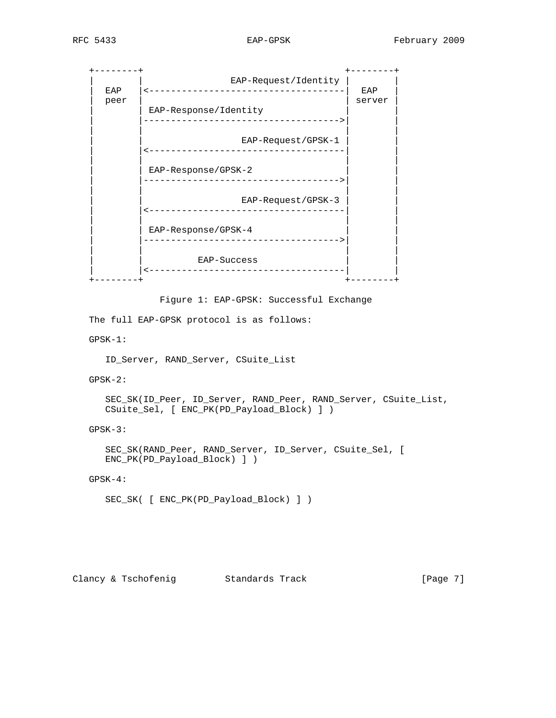+--------+ +--------+ | | EAP-Request/Identity | | | EAP |<------------------------------------| EAP | peer | server | server | server | server | server | server | server | server | server | server | server | server | server | server | server | server | server | server | server | server | server | server | server | server | | EAP-Response/Identity | |------------------------------------>| | | | | | EAP-Request/GPSK-1 | |<------------------------------------| | | | | | EAP-Response/GPSK-2 | |------------------------------------>| | | | | | EAP-Request/GPSK-3 | |<------------------------------------| | | | | | EAP-Response/GPSK-4 | |------------------------------------>| | | | | | EAP-Success | |<------------------------------------| | +--------+ +--------+

Figure 1: EAP-GPSK: Successful Exchange

The full EAP-GPSK protocol is as follows:

GPSK-1:

ID\_Server, RAND\_Server, CSuite\_List

GPSK-2:

 SEC\_SK(ID\_Peer, ID\_Server, RAND\_Peer, RAND\_Server, CSuite\_List, CSuite\_Sel, [ ENC\_PK(PD\_Payload\_Block) ] )

GPSK-3:

 SEC\_SK(RAND\_Peer, RAND\_Server, ID\_Server, CSuite\_Sel, [ ENC\_PK(PD\_Payload\_Block) ] )

GPSK-4:

SEC\_SK( [ ENC\_PK(PD\_Payload\_Block) ] )

Clancy & Tschofenig Standards Track [Page 7]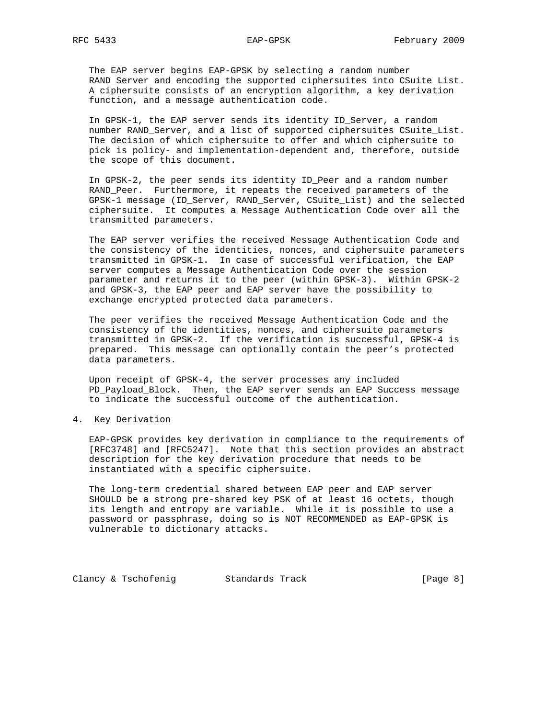The EAP server begins EAP-GPSK by selecting a random number RAND\_Server and encoding the supported ciphersuites into CSuite\_List. A ciphersuite consists of an encryption algorithm, a key derivation function, and a message authentication code.

 In GPSK-1, the EAP server sends its identity ID\_Server, a random number RAND\_Server, and a list of supported ciphersuites CSuite\_List. The decision of which ciphersuite to offer and which ciphersuite to pick is policy- and implementation-dependent and, therefore, outside the scope of this document.

 In GPSK-2, the peer sends its identity ID\_Peer and a random number RAND\_Peer. Furthermore, it repeats the received parameters of the GPSK-1 message (ID\_Server, RAND\_Server, CSuite\_List) and the selected ciphersuite. It computes a Message Authentication Code over all the transmitted parameters.

 The EAP server verifies the received Message Authentication Code and the consistency of the identities, nonces, and ciphersuite parameters transmitted in GPSK-1. In case of successful verification, the EAP server computes a Message Authentication Code over the session parameter and returns it to the peer (within GPSK-3). Within GPSK-2 and GPSK-3, the EAP peer and EAP server have the possibility to exchange encrypted protected data parameters.

 The peer verifies the received Message Authentication Code and the consistency of the identities, nonces, and ciphersuite parameters transmitted in GPSK-2. If the verification is successful, GPSK-4 is prepared. This message can optionally contain the peer's protected data parameters.

 Upon receipt of GPSK-4, the server processes any included PD\_Payload\_Block. Then, the EAP server sends an EAP Success message to indicate the successful outcome of the authentication.

4. Key Derivation

 EAP-GPSK provides key derivation in compliance to the requirements of [RFC3748] and [RFC5247]. Note that this section provides an abstract description for the key derivation procedure that needs to be instantiated with a specific ciphersuite.

 The long-term credential shared between EAP peer and EAP server SHOULD be a strong pre-shared key PSK of at least 16 octets, though its length and entropy are variable. While it is possible to use a password or passphrase, doing so is NOT RECOMMENDED as EAP-GPSK is vulnerable to dictionary attacks.

Clancy & Tschofenig Standards Track [Page 8]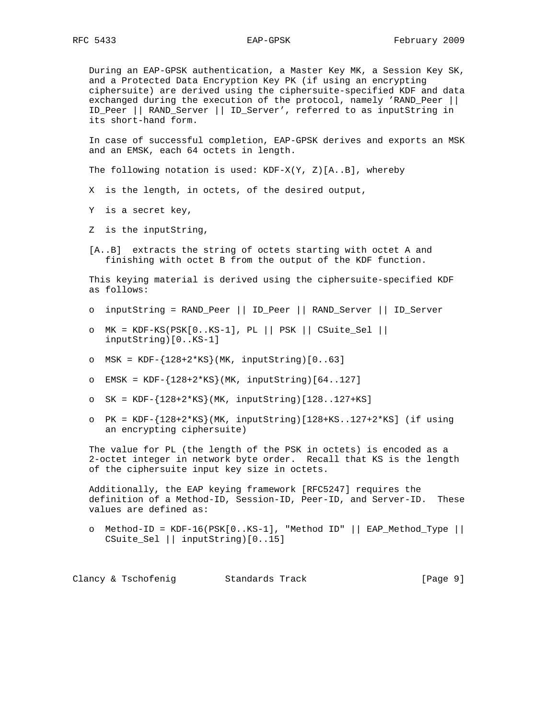During an EAP-GPSK authentication, a Master Key MK, a Session Key SK, and a Protected Data Encryption Key PK (if using an encrypting ciphersuite) are derived using the ciphersuite-specified KDF and data exchanged during the execution of the protocol, namely 'RAND\_Peer || ID\_Peer || RAND\_Server || ID\_Server', referred to as inputString in its short-hand form.

 In case of successful completion, EAP-GPSK derives and exports an MSK and an EMSK, each 64 octets in length.

The following notation is used:  $KDF-X(Y, Z)[A.B]$ , whereby

- X is the length, in octets, of the desired output,
- Y is a secret key,
- Z is the inputString,
- [A..B] extracts the string of octets starting with octet A and finishing with octet B from the output of the KDF function.

 This keying material is derived using the ciphersuite-specified KDF as follows:

- o inputString = RAND\_Peer || ID\_Peer || RAND\_Server || ID\_Server
- o MK = KDF-KS(PSK[0..KS-1], PL || PSK || CSuite\_Sel || inputString)[0..KS-1]
- o MSK = KDF-{128+2\*KS}(MK, inputString)[0..63]
- o EMSK = KDF-{128+2\*KS}(MK, inputString)[64..127]
- o SK = KDF-{128+2\*KS}(MK, inputString)[128..127+KS]
- $O$  PK = KDF- ${128+2*KS}$  (MK, inputString) [128+KS..127+2\*KS] (if using an encrypting ciphersuite)

 The value for PL (the length of the PSK in octets) is encoded as a 2-octet integer in network byte order. Recall that KS is the length of the ciphersuite input key size in octets.

 Additionally, the EAP keying framework [RFC5247] requires the definition of a Method-ID, Session-ID, Peer-ID, and Server-ID. These values are defined as:

o Method-ID =  $KDF-16(PSK[0..KS-1], "Method ID" || EAP_Method_Type ||$ CSuite\_Sel || inputString)[0..15]

Clancy & Tschofenig Standards Track [Page 9]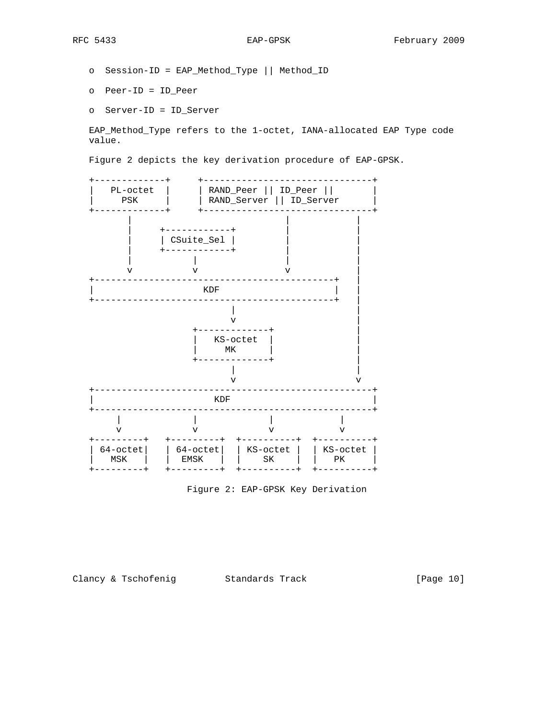- o Session-ID = EAP\_Method\_Type || Method\_ID
- o Peer-ID = ID\_Peer
- o Server-ID = ID\_Server

 EAP\_Method\_Type refers to the 1-octet, IANA-allocated EAP Type code value.

Figure 2 depicts the key derivation procedure of EAP-GPSK.



Figure 2: EAP-GPSK Key Derivation

Clancy & Tschofenig Standards Track [Page 10]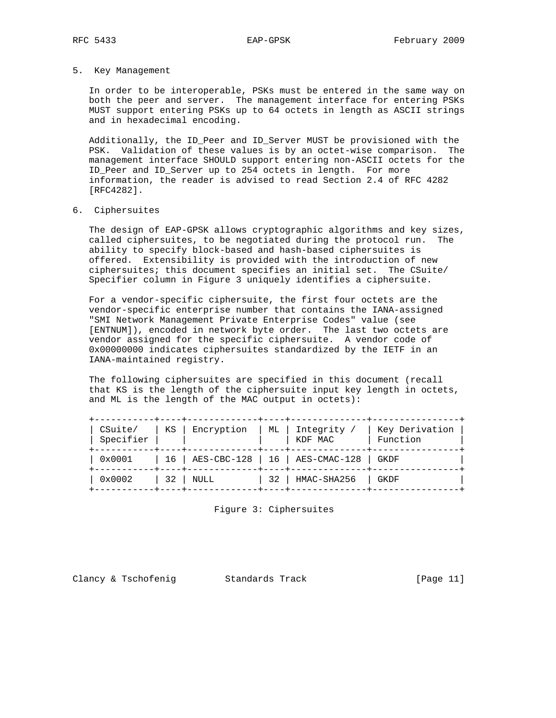5. Key Management

 In order to be interoperable, PSKs must be entered in the same way on both the peer and server. The management interface for entering PSKs MUST support entering PSKs up to 64 octets in length as ASCII strings and in hexadecimal encoding.

 Additionally, the ID\_Peer and ID\_Server MUST be provisioned with the PSK. Validation of these values is by an octet-wise comparison. The management interface SHOULD support entering non-ASCII octets for the ID\_Peer and ID\_Server up to 254 octets in length. For more information, the reader is advised to read Section 2.4 of RFC 4282 [RFC4282].

#### 6. Ciphersuites

 The design of EAP-GPSK allows cryptographic algorithms and key sizes, called ciphersuites, to be negotiated during the protocol run. The ability to specify block-based and hash-based ciphersuites is offered. Extensibility is provided with the introduction of new ciphersuites; this document specifies an initial set. The CSuite/ Specifier column in Figure 3 uniquely identifies a ciphersuite.

 For a vendor-specific ciphersuite, the first four octets are the vendor-specific enterprise number that contains the IANA-assigned "SMI Network Management Private Enterprise Codes" value (see [ENTNUM]), encoded in network byte order. The last two octets are vendor assigned for the specific ciphersuite. A vendor code of 0x00000000 indicates ciphersuites standardized by the IETF in an IANA-maintained registry.

 The following ciphersuites are specified in this document (recall that KS is the length of the ciphersuite input key length in octets, and ML is the length of the MAC output in octets):

| CSuite/<br>Specifier | ΚS              | Encryption | ML | Integrity<br>KDF MAC            | Key Derivation<br>Function |
|----------------------|-----------------|------------|----|---------------------------------|----------------------------|
| 0x0001               | 16 <sup>1</sup> |            |    | AES-CBC-128   16   AES-CMAC-128 | GKDF                       |
| $0 \times 0002$      | 32              | NULL       | 32 | HMAC-SHA256                     | GKDF                       |

Figure 3: Ciphersuites

Clancy & Tschofenig Standards Track [Page 11]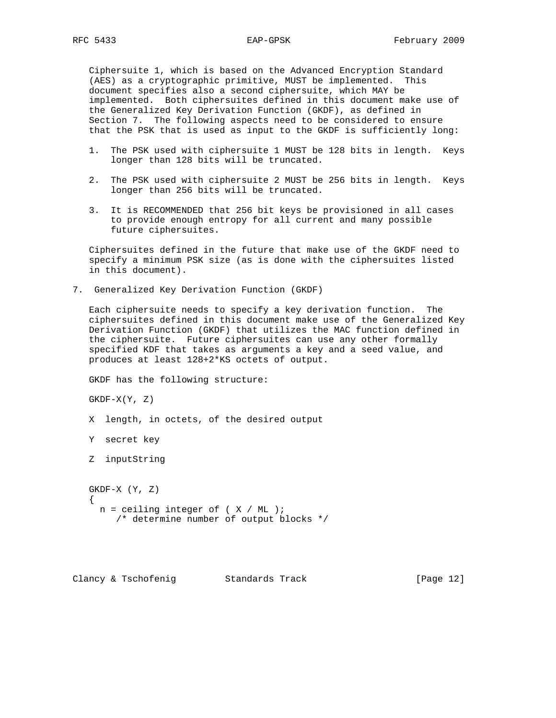Ciphersuite 1, which is based on the Advanced Encryption Standard (AES) as a cryptographic primitive, MUST be implemented. This document specifies also a second ciphersuite, which MAY be implemented. Both ciphersuites defined in this document make use of the Generalized Key Derivation Function (GKDF), as defined in Section 7. The following aspects need to be considered to ensure that the PSK that is used as input to the GKDF is sufficiently long:

- 1. The PSK used with ciphersuite 1 MUST be 128 bits in length. Keys longer than 128 bits will be truncated.
- 2. The PSK used with ciphersuite 2 MUST be 256 bits in length. Keys longer than 256 bits will be truncated.
- 3. It is RECOMMENDED that 256 bit keys be provisioned in all cases to provide enough entropy for all current and many possible future ciphersuites.

 Ciphersuites defined in the future that make use of the GKDF need to specify a minimum PSK size (as is done with the ciphersuites listed in this document).

7. Generalized Key Derivation Function (GKDF)

 Each ciphersuite needs to specify a key derivation function. The ciphersuites defined in this document make use of the Generalized Key Derivation Function (GKDF) that utilizes the MAC function defined in the ciphersuite. Future ciphersuites can use any other formally specified KDF that takes as arguments a key and a seed value, and produces at least 128+2\*KS octets of output.

GKDF has the following structure:

 $GKDF-X(Y, Z)$ 

X length, in octets, of the desired output

Y secret key

Z inputString

 GKDF-X (Y, Z)  $\{$  \cdot \cdot \cdot \cdot \cdot \cdot \cdot \cdot \cdot \cdot \cdot \cdot \cdot \cdot \cdot \cdot \cdot \cdot \cdot \cdot \cdot \cdot \cdot \cdot \cdot \cdot \cdot \cdot \cdot \cdot \cdot \cdot \cdot \cdot \cdot \cdot  $n =$  ceiling integer of (  $X / ML$  ); /\* determine number of output blocks \*/

Clancy & Tschofenig Standards Track [Page 12]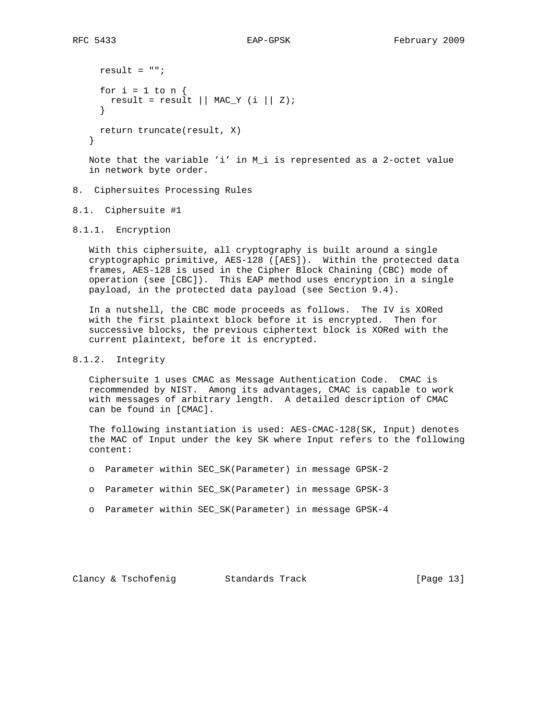```
result = ";
 for i = 1 to n \{result = result || MAC_Y (i || Z); }
  return truncate(result, X)
}
```
Note that the variable 'i' in M i is represented as a 2-octet value in network byte order.

# 8. Ciphersuites Processing Rules

- 8.1. Ciphersuite #1
- 8.1.1. Encryption

 With this ciphersuite, all cryptography is built around a single cryptographic primitive, AES-128 ([AES]). Within the protected data frames, AES-128 is used in the Cipher Block Chaining (CBC) mode of operation (see [CBC]). This EAP method uses encryption in a single payload, in the protected data payload (see Section 9.4).

 In a nutshell, the CBC mode proceeds as follows. The IV is XORed with the first plaintext block before it is encrypted. Then for successive blocks, the previous ciphertext block is XORed with the current plaintext, before it is encrypted.

#### 8.1.2. Integrity

 Ciphersuite 1 uses CMAC as Message Authentication Code. CMAC is recommended by NIST. Among its advantages, CMAC is capable to work with messages of arbitrary length. A detailed description of CMAC can be found in [CMAC].

 The following instantiation is used: AES-CMAC-128(SK, Input) denotes the MAC of Input under the key SK where Input refers to the following content:

- o Parameter within SEC\_SK(Parameter) in message GPSK-2
- o Parameter within SEC\_SK(Parameter) in message GPSK-3
- o Parameter within SEC\_SK(Parameter) in message GPSK-4

Clancy & Tschofenig Standards Track [Page 13]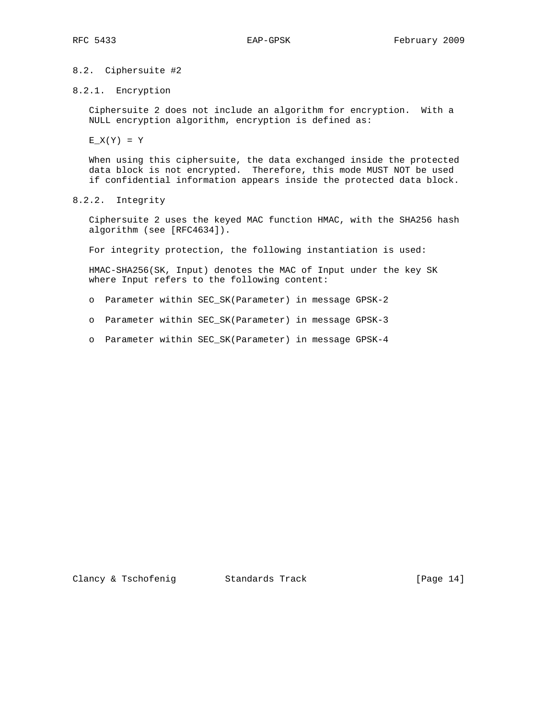# 8.2. Ciphersuite #2

## 8.2.1. Encryption

 Ciphersuite 2 does not include an algorithm for encryption. With a NULL encryption algorithm, encryption is defined as:

 $E_X(Y) = Y$ 

 When using this ciphersuite, the data exchanged inside the protected data block is not encrypted. Therefore, this mode MUST NOT be used if confidential information appears inside the protected data block.

8.2.2. Integrity

 Ciphersuite 2 uses the keyed MAC function HMAC, with the SHA256 hash algorithm (see [RFC4634]).

For integrity protection, the following instantiation is used:

 HMAC-SHA256(SK, Input) denotes the MAC of Input under the key SK where Input refers to the following content:

- o Parameter within SEC\_SK(Parameter) in message GPSK-2
- o Parameter within SEC\_SK(Parameter) in message GPSK-3
- o Parameter within SEC\_SK(Parameter) in message GPSK-4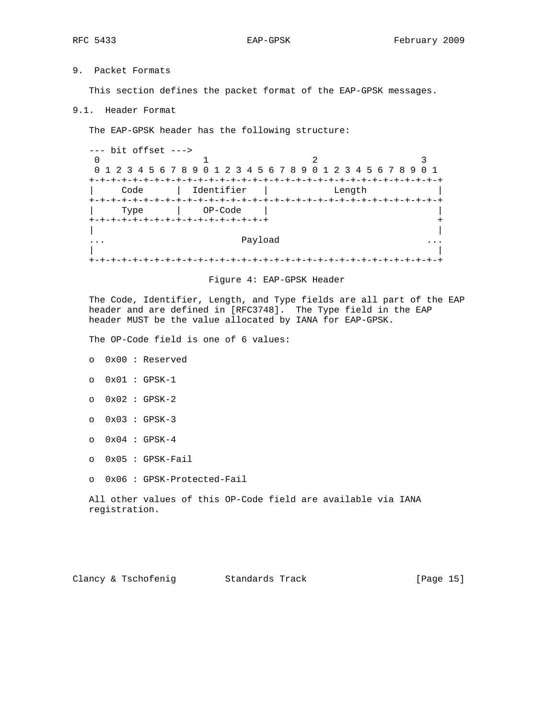9. Packet Formats

This section defines the packet format of the EAP-GPSK messages.

9.1. Header Format

The EAP-GPSK header has the following structure:

 --- bit offset --->  $\begin{array}{ccc} 0 & 2 & 3 \\ 0 & 1 & 2 \end{array}$  0 1 2 3 4 5 6 7 8 9 0 1 2 3 4 5 6 7 8 9 0 1 2 3 4 5 6 7 8 9 0 1 +-+-+-+-+-+-+-+-+-+-+-+-+-+-+-+-+-+-+-+-+-+-+-+-+-+-+-+-+-+-+-+-+ | Code | Identifier | Length | +-+-+-+-+-+-+-+-+-+-+-+-+-+-+-+-+-+-+-+-+-+-+-+-+-+-+-+-+-+-+-+-+ | Type | OP-Code | | +-+-+-+-+-+-+-+-+-+-+-+-+-+-+-+-+ + | | ... Payload ... | | +-+-+-+-+-+-+-+-+-+-+-+-+-+-+-+-+-+-+-+-+-+-+-+-+-+-+-+-+-+-+-+-+

#### Figure 4: EAP-GPSK Header

 The Code, Identifier, Length, and Type fields are all part of the EAP header and are defined in [RFC3748]. The Type field in the EAP header MUST be the value allocated by IANA for EAP-GPSK.

The OP-Code field is one of 6 values:

- o 0x00 : Reserved
- o 0x01 : GPSK-1
- o 0x02 : GPSK-2
- o 0x03 : GPSK-3
- o 0x04 : GPSK-4
- o 0x05 : GPSK-Fail
- o 0x06 : GPSK-Protected-Fail

|  |               |  |  |  | All other values of this OP-Code field are available via IANA |  |
|--|---------------|--|--|--|---------------------------------------------------------------|--|
|  | registration. |  |  |  |                                                               |  |

Clancy & Tschofenig Standards Track [Page 15]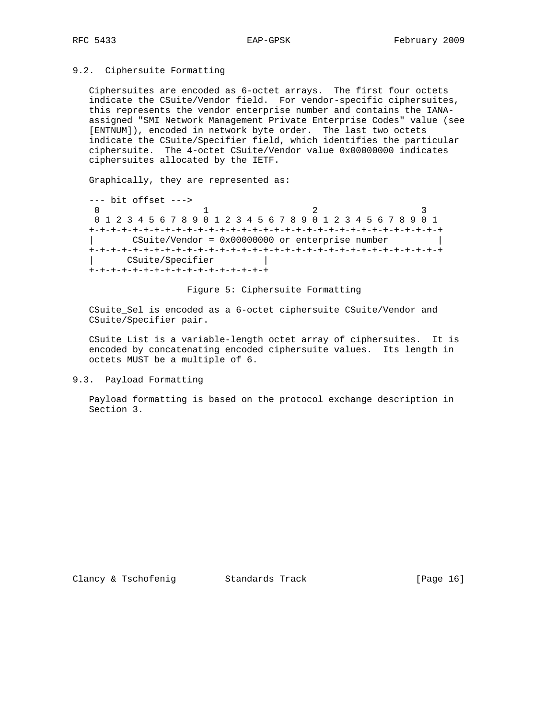## 9.2. Ciphersuite Formatting

 Ciphersuites are encoded as 6-octet arrays. The first four octets indicate the CSuite/Vendor field. For vendor-specific ciphersuites, this represents the vendor enterprise number and contains the IANA assigned "SMI Network Management Private Enterprise Codes" value (see [ENTNUM]), encoded in network byte order. The last two octets indicate the CSuite/Specifier field, which identifies the particular ciphersuite. The 4-octet CSuite/Vendor value 0x00000000 indicates ciphersuites allocated by the IETF.

Graphically, they are represented as:

 --- bit offset ---> 0  $1$  2 3 0 1 2 3 4 5 6 7 8 9 0 1 2 3 4 5 6 7 8 9 0 1 2 3 4 5 6 7 8 9 0 1 +-+-+-+-+-+-+-+-+-+-+-+-+-+-+-+-+-+-+-+-+-+-+-+-+-+-+-+-+-+-+-+-+  $CSuite/Vendor =  $0x00000000$  or enterprise number |$  +-+-+-+-+-+-+-+-+-+-+-+-+-+-+-+-+-+-+-+-+-+-+-+-+-+-+-+-+-+-+-+-+ | CSuite/Specifier | +-+-+-+-+-+-+-+-+-+-+-+-+-+-+-+-+

Figure 5: Ciphersuite Formatting

 CSuite\_Sel is encoded as a 6-octet ciphersuite CSuite/Vendor and CSuite/Specifier pair.

 CSuite\_List is a variable-length octet array of ciphersuites. It is encoded by concatenating encoded ciphersuite values. Its length in octets MUST be a multiple of 6.

## 9.3. Payload Formatting

 Payload formatting is based on the protocol exchange description in Section 3.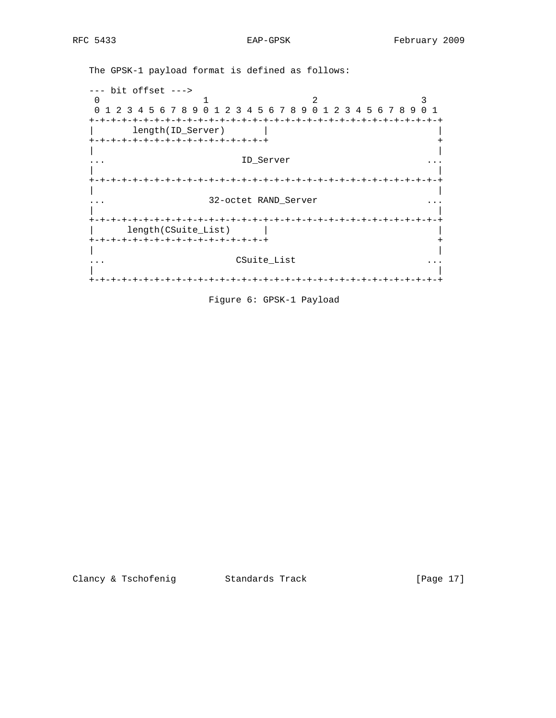The GPSK-1 payload format is defined as follows:

 --- bit offset ---> 0  $1$  2 3 0 1 2 3 4 5 6 7 8 9 0 1 2 3 4 5 6 7 8 9 0 1 2 3 4 5 6 7 8 9 0 1 +-+-+-+-+-+-+-+-+-+-+-+-+-+-+-+-+-+-+-+-+-+-+-+-+-+-+-+-+-+-+-+-+ | length(ID\_Server) | | +-+-+-+-+-+-+-+-+-+-+-+-+-+-+-+-+ + | | ... ID\_Server ... | | +-+-+-+-+-+-+-+-+-+-+-+-+-+-+-+-+-+-+-+-+-+-+-+-+-+-+-+-+-+-+-+-+ | | ... 32-octet RAND\_Server ... | | +-+-+-+-+-+-+-+-+-+-+-+-+-+-+-+-+-+-+-+-+-+-+-+-+-+-+-+-+-+-+-+-+ | length(CSuite\_List) | | +-+-+-+-+-+-+-+-+-+-+-+-+-+-+-+-+ + | | ... CSuite\_List ... | | +-+-+-+-+-+-+-+-+-+-+-+-+-+-+-+-+-+-+-+-+-+-+-+-+-+-+-+-+-+-+-+-+

Figure 6: GPSK-1 Payload

Clancy & Tschofenig Standards Track [Page 17]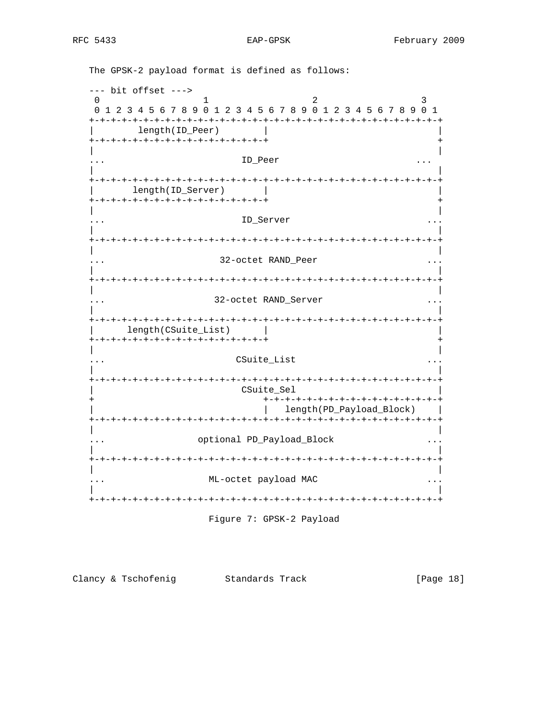EAP-GPSK

 $--- bit offset -- \overline{0}$  $\mathbf{1}$  $\mathfrak{D}$  $\mathcal{E}$ 0 1 2 3 4 5 6 7 8 9 0 1 2 3 4 5 6 7 8 9 0 1 2 3 4 5 6 7 8 9 0 1 length(ID\_Peer) +-+-+-+-+-+-+-+-+-+-+-+-+-+-+-+-+  $\overline{\phantom{a}}$ ID\_Peer  $\cdots$  $\ddots$ length(ID\_Server)  $\perp$ +-+-+-+-+-+-+-+-+-+-+-+-+-+-+-+-+ ID Server  $\cdots$  $\cdots$ 32-octet RAND\_Peer  $\ddotsc$  $\cdots$ 32-octet RAND\_Server | length(CSuite\_List) | +-+-+-+-+-+-+-+-+-+-+-+-+-+-+-+-+  $+$ CSuite\_List CSuite\_Sel +-+-+-+-+-+-+-+-+-+-+-+-+-+-+-+-+ | length(PD\_Payload\_Block) | optional PD\_Payload\_Block  $\mathbf{1} \leftarrow \mathbf{1} \leftarrow \mathbf{1}$  $\sim$   $\sim$   $\sim$  $\Box$ ML-octet payload MAC  $\ddots$  $\cdots$ 

The GPSK-2 payload format is defined as follows:

Figure 7: GPSK-2 Payload

Clancy & Tschofenig Standards Track [Page 18]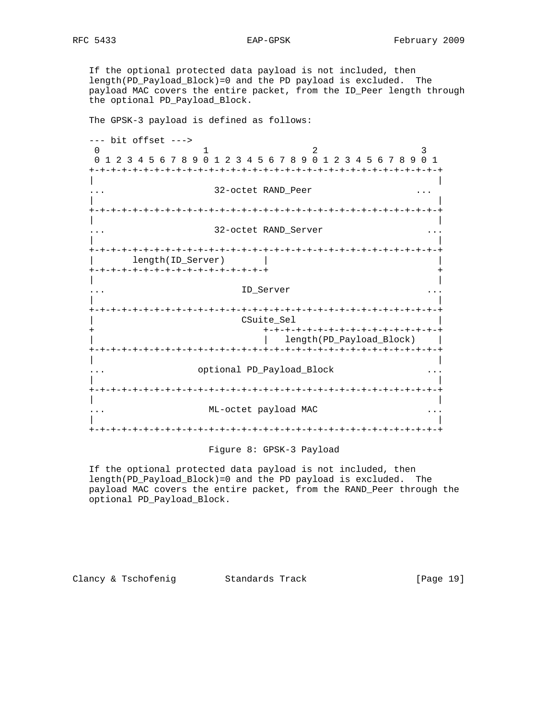If the optional protected data payload is not included, then length(PD\_Payload\_Block)=0 and the PD payload is excluded. The payload MAC covers the entire packet, from the ID\_Peer length through the optional PD\_Payload\_Block.

The GPSK-3 payload is defined as follows:

 --- bit offset ---> 0 1 2 3 0 1 2 3 4 5 6 7 8 9 0 1 2 3 4 5 6 7 8 9 0 1 2 3 4 5 6 7 8 9 0 1 +-+-+-+-+-+-+-+-+-+-+-+-+-+-+-+-+-+-+-+-+-+-+-+-+-+-+-+-+-+-+-+-+ | | ... 32-octet RAND\_Peer ... | | +-+-+-+-+-+-+-+-+-+-+-+-+-+-+-+-+-+-+-+-+-+-+-+-+-+-+-+-+-+-+-+-+ | |  $\therefore$  32-octet RAND\_Server  $\cdots$  | | +-+-+-+-+-+-+-+-+-+-+-+-+-+-+-+-+-+-+-+-+-+-+-+-+-+-+-+-+-+-+-+-+ | length(ID\_Server) | | +-+-+-+-+-+-+-+-+-+-+-+-+-+-+-+-+ + | | ... ID\_Server ... | | +-+-+-+-+-+-+-+-+-+-+-+-+-+-+-+-+-+-+-+-+-+-+-+-+-+-+-+-+-+-+-+-+ CSuite\_Sel + +-+-+-+-+-+-+-+-+-+-+-+-+-+-+-+-+ | | length(PD\_Payload\_Block) | +-+-+-+-+-+-+-+-+-+-+-+-+-+-+-+-+-+-+-+-+-+-+-+-+-+-+-+-+-+-+-+-+ | | ... optional PD\_Payload\_Block ... | | +-+-+-+-+-+-+-+-+-+-+-+-+-+-+-+-+-+-+-+-+-+-+-+-+-+-+-+-+-+-+-+-+ | | ... ML-octet payload MAC ... | | +-+-+-+-+-+-+-+-+-+-+-+-+-+-+-+-+-+-+-+-+-+-+-+-+-+-+-+-+-+-+-+-+

#### Figure 8: GPSK-3 Payload

 If the optional protected data payload is not included, then length(PD\_Payload\_Block)=0 and the PD payload is excluded. The payload MAC covers the entire packet, from the RAND\_Peer through the optional PD\_Payload\_Block.

Clancy & Tschofenig Standards Track [Page 19]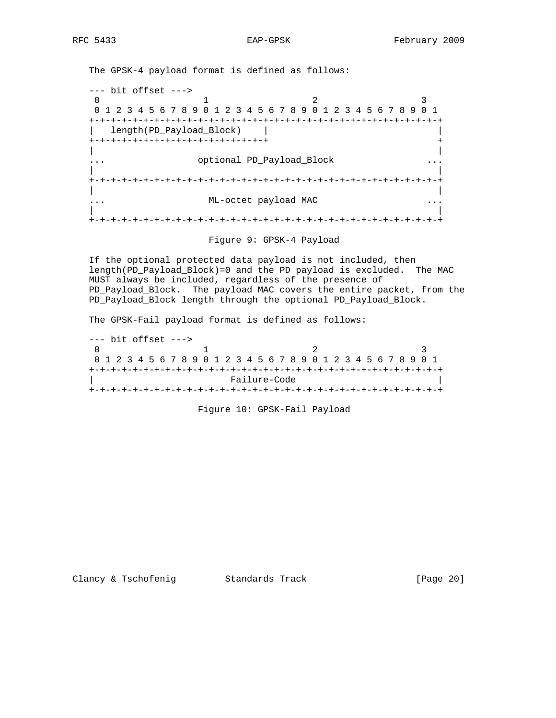The GPSK-4 payload format is defined as follows:

 --- bit offset ---> 0  $1$  2 3 0 1 2 3 4 5 6 7 8 9 0 1 2 3 4 5 6 7 8 9 0 1 2 3 4 5 6 7 8 9 0 1 +-+-+-+-+-+-+-+-+-+-+-+-+-+-+-+-+-+-+-+-+-+-+-+-+-+-+-+-+-+-+-+-+ | length(PD\_Payload\_Block) | | +-+-+-+-+-+-+-+-+-+-+-+-+-+-+-+-+ + | | ... optional PD\_Payload\_Block ... | | +-+-+-+-+-+-+-+-+-+-+-+-+-+-+-+-+-+-+-+-+-+-+-+-+-+-+-+-+-+-+-+-+ | | ... ML-octet payload MAC ... | | +-+-+-+-+-+-+-+-+-+-+-+-+-+-+-+-+-+-+-+-+-+-+-+-+-+-+-+-+-+-+-+-+

Figure 9: GPSK-4 Payload

 If the optional protected data payload is not included, then length(PD\_Payload\_Block)=0 and the PD payload is excluded. The MAC MUST always be included, regardless of the presence of PD\_Payload\_Block. The payload MAC covers the entire packet, from the PD\_Payload\_Block length through the optional PD\_Payload\_Block.

The GPSK-Fail payload format is defined as follows:

 --- bit offset --->  $\begin{array}{ccc}\n 0 & 1 & 2 & 3\n \end{array}$  0 1 2 3 4 5 6 7 8 9 0 1 2 3 4 5 6 7 8 9 0 1 2 3 4 5 6 7 8 9 0 1 +-+-+-+-+-+-+-+-+-+-+-+-+-+-+-+-+-+-+-+-+-+-+-+-+-+-+-+-+-+-+-+-+ | Failure-Code | +-+-+-+-+-+-+-+-+-+-+-+-+-+-+-+-+-+-+-+-+-+-+-+-+-+-+-+-+-+-+-+-+

Figure 10: GPSK-Fail Payload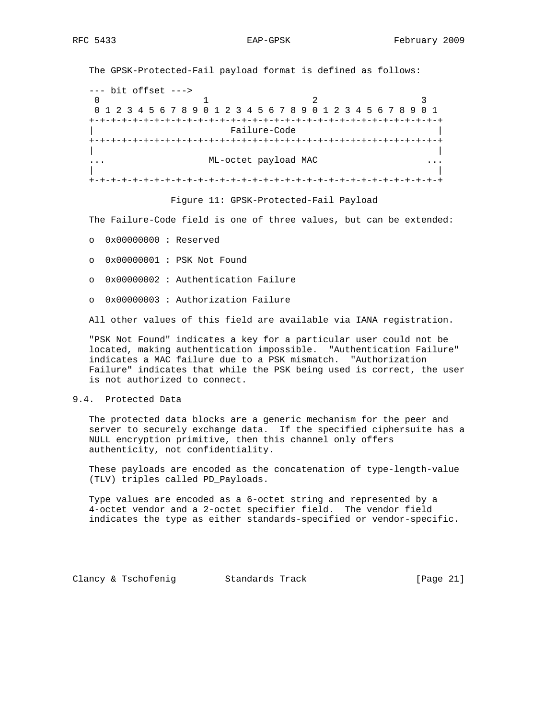The GPSK-Protected-Fail payload format is defined as follows:

 --- bit offset --->  $\begin{array}{ccccccc}\n0 & & & 1 & & & 2 & & 3\n\end{array}$  0 1 2 3 4 5 6 7 8 9 0 1 2 3 4 5 6 7 8 9 0 1 2 3 4 5 6 7 8 9 0 1 +-+-+-+-+-+-+-+-+-+-+-+-+-+-+-+-+-+-+-+-+-+-+-+-+-+-+-+-+-+-+-+-+ Failure-Code +-+-+-+-+-+-+-+-+-+-+-+-+-+-+-+-+-+-+-+-+-+-+-+-+-+-+-+-+-+-+-+-+ | | ... ML-octet payload MAC ... | | +-+-+-+-+-+-+-+-+-+-+-+-+-+-+-+-+-+-+-+-+-+-+-+-+-+-+-+-+-+-+-+-+

Figure 11: GPSK-Protected-Fail Payload

The Failure-Code field is one of three values, but can be extended:

- o 0x00000000 : Reserved
- o 0x00000001 : PSK Not Found
- o 0x00000002 : Authentication Failure
- o 0x00000003 : Authorization Failure

All other values of this field are available via IANA registration.

 "PSK Not Found" indicates a key for a particular user could not be located, making authentication impossible. "Authentication Failure" indicates a MAC failure due to a PSK mismatch. "Authorization Failure" indicates that while the PSK being used is correct, the user is not authorized to connect.

## 9.4. Protected Data

 The protected data blocks are a generic mechanism for the peer and server to securely exchange data. If the specified ciphersuite has a NULL encryption primitive, then this channel only offers authenticity, not confidentiality.

 These payloads are encoded as the concatenation of type-length-value (TLV) triples called PD\_Payloads.

 Type values are encoded as a 6-octet string and represented by a 4-octet vendor and a 2-octet specifier field. The vendor field indicates the type as either standards-specified or vendor-specific.

Clancy & Tschofenig Standards Track (Page 21)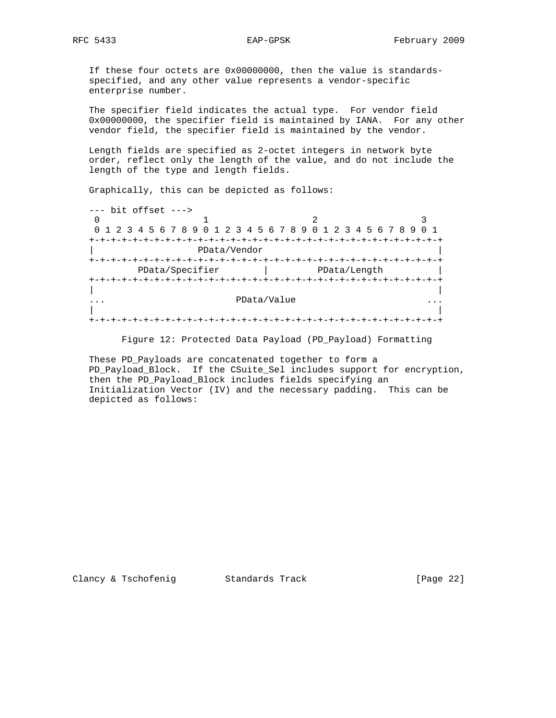If these four octets are 0x00000000, then the value is standards specified, and any other value represents a vendor-specific enterprise number.

 The specifier field indicates the actual type. For vendor field 0x00000000, the specifier field is maintained by IANA. For any other vendor field, the specifier field is maintained by the vendor.

 Length fields are specified as 2-octet integers in network byte order, reflect only the length of the value, and do not include the length of the type and length fields.

Graphically, this can be depicted as follows:

 --- bit offset ---> 0  $1$  2 3 0 1 2 3 4 5 6 7 8 9 0 1 2 3 4 5 6 7 8 9 0 1 2 3 4 5 6 7 8 9 0 1 +-+-+-+-+-+-+-+-+-+-+-+-+-+-+-+-+-+-+-+-+-+-+-+-+-+-+-+-+-+-+-+-+ | PData/Vendor | +-+-+-+-+-+-+-+-+-+-+-+-+-+-+-+-+-+-+-+-+-+-+-+-+-+-+-+-+-+-+-+-+ PData/Specifier | PData/Length | +-+-+-+-+-+-+-+-+-+-+-+-+-+-+-+-+-+-+-+-+-+-+-+-+-+-+-+-+-+-+-+-+ | | ... PData/Value ... | | +-+-+-+-+-+-+-+-+-+-+-+-+-+-+-+-+-+-+-+-+-+-+-+-+-+-+-+-+-+-+-+-+

Figure 12: Protected Data Payload (PD\_Payload) Formatting

 These PD\_Payloads are concatenated together to form a PD\_Payload\_Block. If the CSuite\_Sel includes support for encryption, then the PD\_Payload\_Block includes fields specifying an Initialization Vector (IV) and the necessary padding. This can be depicted as follows: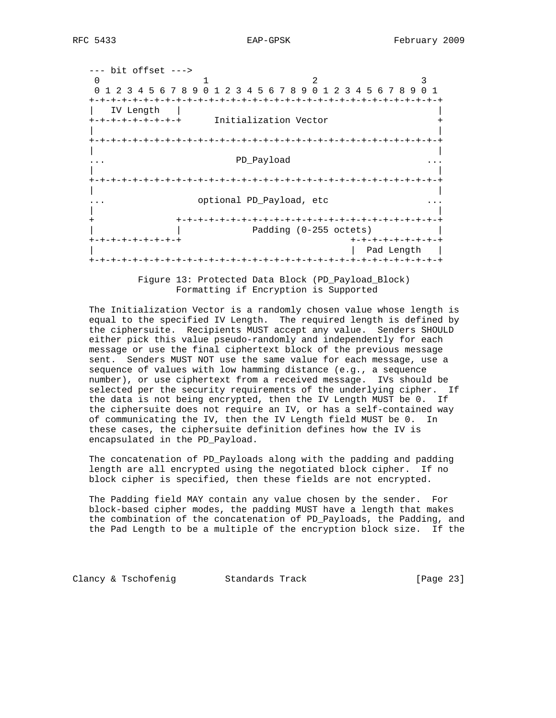--- bit offset ---> 0 1 2 3 0 1 2 3 4 5 6 7 8 9 0 1 2 3 4 5 6 7 8 9 0 1 2 3 4 5 6 7 8 9 0 1 +-+-+-+-+-+-+-+-+-+-+-+-+-+-+-+-+-+-+-+-+-+-+-+-+-+-+-+-+-+-+-+-+ | IV Length | | +-+-+-+-+-+-+-+-+ Initialization Vector + | | +-+-+-+-+-+-+-+-+-+-+-+-+-+-+-+-+-+-+-+-+-+-+-+-+-+-+-+-+-+-+-+-+ | | ... PD\_Payload ... | | +-+-+-+-+-+-+-+-+-+-+-+-+-+-+-+-+-+-+-+-+-+-+-+-+-+-+-+-+-+-+-+-+ | | ... optional PD\_Payload, etc ... | | + +-+-+-+-+-+-+-+-+-+-+-+-+-+-+-+-+-+-+-+-+-+-+-+-+ | | Padding (0-255 octets) | +-+-+-+-+-+-+-+-+ +-+-+-+-+-+-+-+-+ | | Pad Length | +-+-+-+-+-+-+-+-+-+-+-+-+-+-+-+-+-+-+-+-+-+-+-+-+-+-+-+-+-+-+-+-+

> Figure 13: Protected Data Block (PD\_Payload\_Block) Formatting if Encryption is Supported

 The Initialization Vector is a randomly chosen value whose length is equal to the specified IV Length. The required length is defined by the ciphersuite. Recipients MUST accept any value. Senders SHOULD either pick this value pseudo-randomly and independently for each message or use the final ciphertext block of the previous message sent. Senders MUST NOT use the same value for each message, use a sequence of values with low hamming distance (e.g., a sequence number), or use ciphertext from a received message. IVs should be selected per the security requirements of the underlying cipher. If the data is not being encrypted, then the IV Length MUST be 0. If the ciphersuite does not require an IV, or has a self-contained way of communicating the IV, then the IV Length field MUST be 0. In these cases, the ciphersuite definition defines how the IV is encapsulated in the PD\_Payload.

The concatenation of PD Payloads along with the padding and padding length are all encrypted using the negotiated block cipher. If no block cipher is specified, then these fields are not encrypted.

 The Padding field MAY contain any value chosen by the sender. For block-based cipher modes, the padding MUST have a length that makes the combination of the concatenation of PD\_Payloads, the Padding, and the Pad Length to be a multiple of the encryption block size. If the

Clancy & Tschofenig Standards Track [Page 23]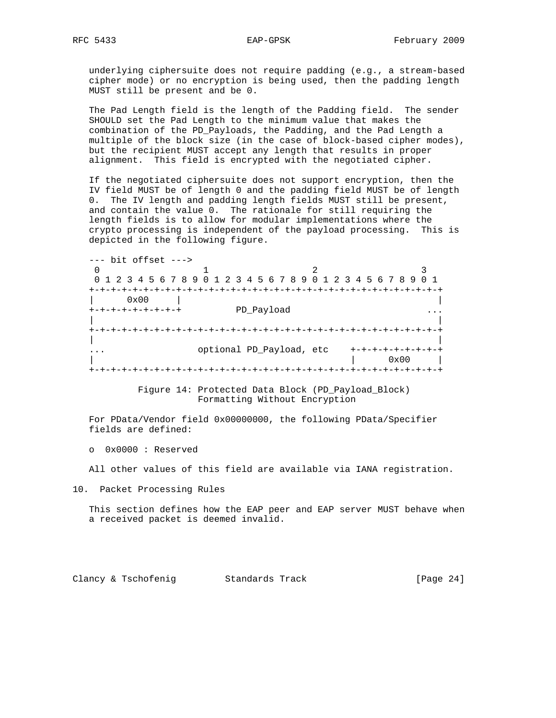underlying ciphersuite does not require padding (e.g., a stream-based cipher mode) or no encryption is being used, then the padding length MUST still be present and be 0.

 The Pad Length field is the length of the Padding field. The sender SHOULD set the Pad Length to the minimum value that makes the combination of the PD\_Payloads, the Padding, and the Pad Length a multiple of the block size (in the case of block-based cipher modes), but the recipient MUST accept any length that results in proper alignment. This field is encrypted with the negotiated cipher.

 If the negotiated ciphersuite does not support encryption, then the IV field MUST be of length 0 and the padding field MUST be of length 0. The IV length and padding length fields MUST still be present, and contain the value 0. The rationale for still requiring the length fields is to allow for modular implementations where the crypto processing is independent of the payload processing. This is depicted in the following figure.

 --- bit offset ---> 0  $1$  2 3 0 1 2 3 4 5 6 7 8 9 0 1 2 3 4 5 6 7 8 9 0 1 2 3 4 5 6 7 8 9 0 1 +-+-+-+-+-+-+-+-+-+-+-+-+-+-+-+-+-+-+-+-+-+-+-+-+-+-+-+-+-+-+-+-+ | 0x00 | | +-+-+-+-+-+-+-+-+ PD\_Payload ... | | +-+-+-+-+-+-+-+-+-+-+-+-+-+-+-+-+-+-+-+-+-+-+-+-+-+-+-+-+-+-+-+-+ | | ... optional PD\_Payload, etc +-+-+-+-+-+-+-+-+ | | 0x00 | +-+-+-+-+-+-+-+-+-+-+-+-+-+-+-+-+-+-+-+-+-+-+-+-+-+-+-+-+-+-+-+-+

> Figure 14: Protected Data Block (PD\_Payload\_Block) Formatting Without Encryption

 For PData/Vendor field 0x00000000, the following PData/Specifier fields are defined:

o 0x0000 : Reserved

All other values of this field are available via IANA registration.

10. Packet Processing Rules

 This section defines how the EAP peer and EAP server MUST behave when a received packet is deemed invalid.

Clancy & Tschofenig Standards Track (Page 24)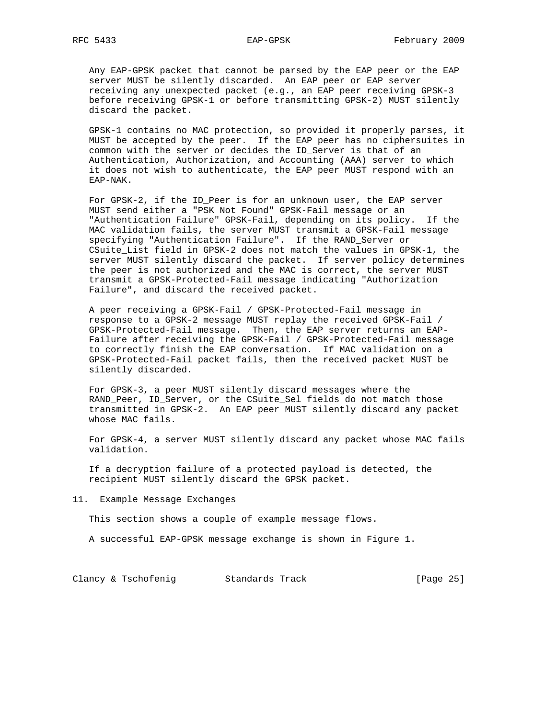Any EAP-GPSK packet that cannot be parsed by the EAP peer or the EAP server MUST be silently discarded. An EAP peer or EAP server receiving any unexpected packet (e.g., an EAP peer receiving GPSK-3 before receiving GPSK-1 or before transmitting GPSK-2) MUST silently discard the packet.

 GPSK-1 contains no MAC protection, so provided it properly parses, it MUST be accepted by the peer. If the EAP peer has no ciphersuites in common with the server or decides the ID\_Server is that of an Authentication, Authorization, and Accounting (AAA) server to which it does not wish to authenticate, the EAP peer MUST respond with an EAP-NAK.

 For GPSK-2, if the ID\_Peer is for an unknown user, the EAP server MUST send either a "PSK Not Found" GPSK-Fail message or an "Authentication Failure" GPSK-Fail, depending on its policy. If the MAC validation fails, the server MUST transmit a GPSK-Fail message specifying "Authentication Failure". If the RAND\_Server or CSuite\_List field in GPSK-2 does not match the values in GPSK-1, the server MUST silently discard the packet. If server policy determines the peer is not authorized and the MAC is correct, the server MUST transmit a GPSK-Protected-Fail message indicating "Authorization Failure", and discard the received packet.

 A peer receiving a GPSK-Fail / GPSK-Protected-Fail message in response to a GPSK-2 message MUST replay the received GPSK-Fail / GPSK-Protected-Fail message. Then, the EAP server returns an EAP- Failure after receiving the GPSK-Fail / GPSK-Protected-Fail message to correctly finish the EAP conversation. If MAC validation on a GPSK-Protected-Fail packet fails, then the received packet MUST be silently discarded.

 For GPSK-3, a peer MUST silently discard messages where the RAND\_Peer, ID\_Server, or the CSuite\_Sel fields do not match those transmitted in GPSK-2. An EAP peer MUST silently discard any packet whose MAC fails.

 For GPSK-4, a server MUST silently discard any packet whose MAC fails validation.

 If a decryption failure of a protected payload is detected, the recipient MUST silently discard the GPSK packet.

11. Example Message Exchanges

This section shows a couple of example message flows.

A successful EAP-GPSK message exchange is shown in Figure 1.

Clancy & Tschofenig Standards Track [Page 25]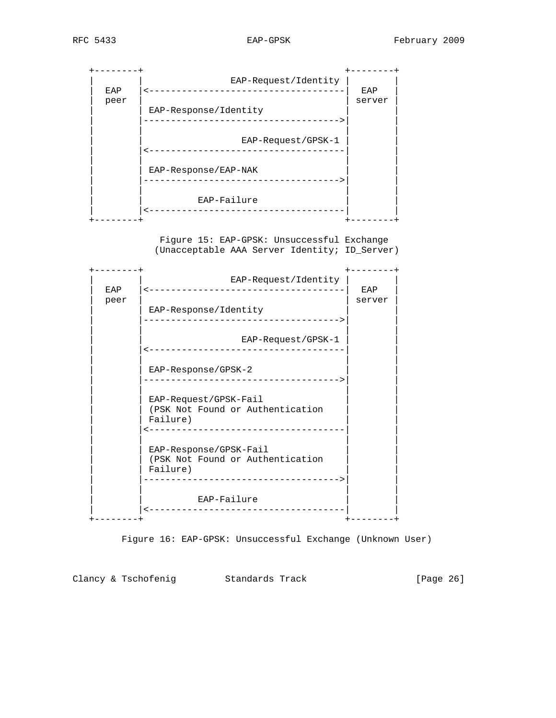

 Figure 15: EAP-GPSK: Unsuccessful Exchange (Unacceptable AAA Server Identity; ID\_Server)



Figure 16: EAP-GPSK: Unsuccessful Exchange (Unknown User)

Clancy & Tschofenig Standards Track [Page 26]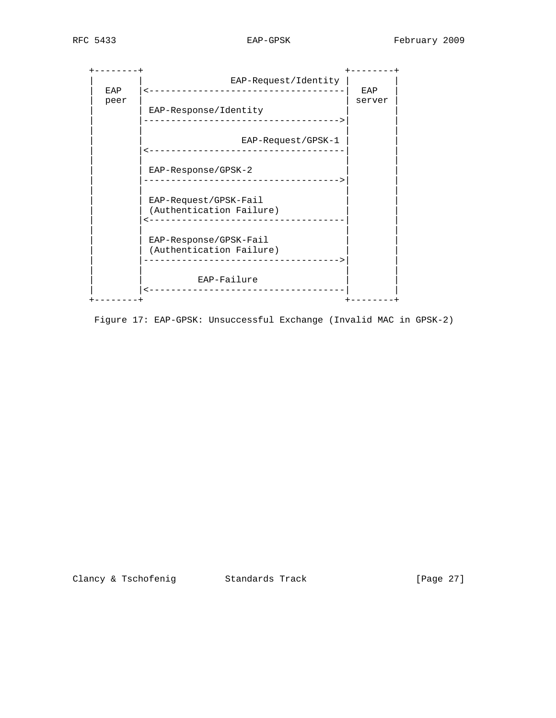+--------+ +--------+ | | EAP-Request/Identity | | | EAP |<------------------------------------| EAP | peer | server | server | server | server | server | server | server | server | server | server | server | server | server | server | server | server | server | server | server | server | server | server | server | server | | EAP-Response/Identity | |------------------------------------>| | | | | | EAP-Request/GPSK-1 | |<------------------------------------| | | | | | EAP-Response/GPSK-2 | |------------------------------------>| | | | | | EAP-Request/GPSK-Fail (Authentication Failure) | |<------------------------------------| | | | | | EAP-Response/GPSK-Fail | (Authentication Failure) | |------------------------------------>| | | | | | EAP-Failure | |<------------------------------------| |  $+ - - - - - - - +$ 

Figure 17: EAP-GPSK: Unsuccessful Exchange (Invalid MAC in GPSK-2)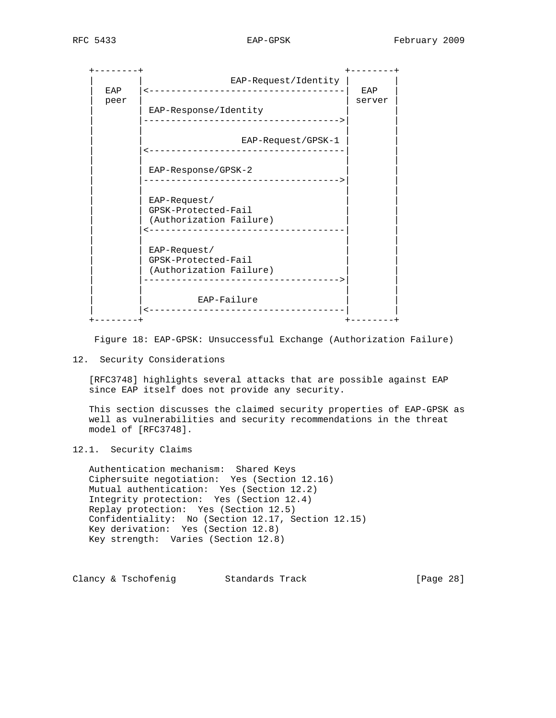| <b>EAP</b> | EAP-Request/Identity<br>--------------                                         | EAP    |
|------------|--------------------------------------------------------------------------------|--------|
| peer       | EAP-Response/Identity                                                          | server |
|            | --------------------                                                           |        |
|            | EAP-Request/GPSK-1<br>---------------------                                    |        |
|            | EAP-Response/GPSK-2<br>______________________________                          |        |
|            | $EAP-Request/$<br>GPSK-Protected-Fail<br>(Authorization Failure)<br>---------- |        |
|            | EAP-Request/<br>GPSK-Protected-Fail<br>(Authorization Failure)                 |        |
|            | EAP-Failure<br>---------                                                       |        |
|            |                                                                                |        |

Figure 18: EAP-GPSK: Unsuccessful Exchange (Authorization Failure)

## 12. Security Considerations

 [RFC3748] highlights several attacks that are possible against EAP since EAP itself does not provide any security.

 This section discusses the claimed security properties of EAP-GPSK as well as vulnerabilities and security recommendations in the threat model of [RFC3748].

# 12.1. Security Claims

 Authentication mechanism: Shared Keys Ciphersuite negotiation: Yes (Section 12.16) Mutual authentication: Yes (Section 12.2) Integrity protection: Yes (Section 12.4) Replay protection: Yes (Section 12.5) Confidentiality: No (Section 12.17, Section 12.15) Key derivation: Yes (Section 12.8) Key strength: Varies (Section 12.8)

Clancy & Tschofenig Standards Track [Page 28]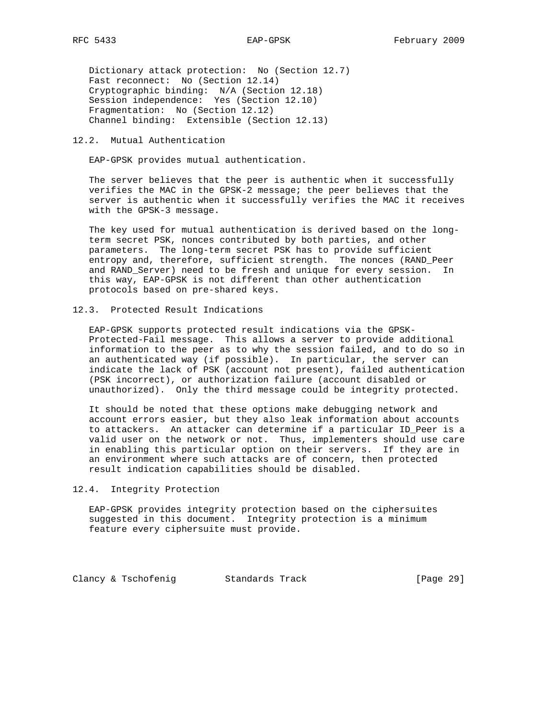Dictionary attack protection: No (Section 12.7) Fast reconnect: No (Section 12.14) Cryptographic binding: N/A (Section 12.18) Session independence: Yes (Section 12.10) Fragmentation: No (Section 12.12) Channel binding: Extensible (Section 12.13)

# 12.2. Mutual Authentication

EAP-GPSK provides mutual authentication.

 The server believes that the peer is authentic when it successfully verifies the MAC in the GPSK-2 message; the peer believes that the server is authentic when it successfully verifies the MAC it receives with the GPSK-3 message.

 The key used for mutual authentication is derived based on the long term secret PSK, nonces contributed by both parties, and other parameters. The long-term secret PSK has to provide sufficient entropy and, therefore, sufficient strength. The nonces (RAND\_Peer and RAND\_Server) need to be fresh and unique for every session. In this way, EAP-GPSK is not different than other authentication protocols based on pre-shared keys.

## 12.3. Protected Result Indications

 EAP-GPSK supports protected result indications via the GPSK- Protected-Fail message. This allows a server to provide additional information to the peer as to why the session failed, and to do so in an authenticated way (if possible). In particular, the server can indicate the lack of PSK (account not present), failed authentication (PSK incorrect), or authorization failure (account disabled or unauthorized). Only the third message could be integrity protected.

 It should be noted that these options make debugging network and account errors easier, but they also leak information about accounts to attackers. An attacker can determine if a particular ID\_Peer is a valid user on the network or not. Thus, implementers should use care in enabling this particular option on their servers. If they are in an environment where such attacks are of concern, then protected result indication capabilities should be disabled.

#### 12.4. Integrity Protection

 EAP-GPSK provides integrity protection based on the ciphersuites suggested in this document. Integrity protection is a minimum feature every ciphersuite must provide.

Clancy & Tschofenig Standards Track [Page 29]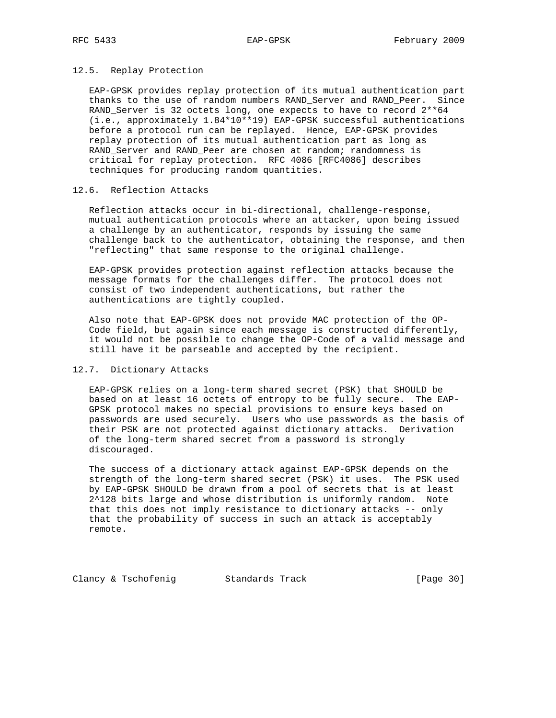## 12.5. Replay Protection

 EAP-GPSK provides replay protection of its mutual authentication part thanks to the use of random numbers RAND\_Server and RAND\_Peer. Since RAND\_Server is 32 octets long, one expects to have to record 2\*\*64 (i.e., approximately 1.84\*10\*\*19) EAP-GPSK successful authentications before a protocol run can be replayed. Hence, EAP-GPSK provides replay protection of its mutual authentication part as long as RAND\_Server and RAND\_Peer are chosen at random; randomness is critical for replay protection. RFC 4086 [RFC4086] describes techniques for producing random quantities.

## 12.6. Reflection Attacks

 Reflection attacks occur in bi-directional, challenge-response, mutual authentication protocols where an attacker, upon being issued a challenge by an authenticator, responds by issuing the same challenge back to the authenticator, obtaining the response, and then "reflecting" that same response to the original challenge.

 EAP-GPSK provides protection against reflection attacks because the message formats for the challenges differ. The protocol does not consist of two independent authentications, but rather the authentications are tightly coupled.

 Also note that EAP-GPSK does not provide MAC protection of the OP- Code field, but again since each message is constructed differently, it would not be possible to change the OP-Code of a valid message and still have it be parseable and accepted by the recipient.

## 12.7. Dictionary Attacks

 EAP-GPSK relies on a long-term shared secret (PSK) that SHOULD be based on at least 16 octets of entropy to be fully secure. The EAP- GPSK protocol makes no special provisions to ensure keys based on passwords are used securely. Users who use passwords as the basis of their PSK are not protected against dictionary attacks. Derivation of the long-term shared secret from a password is strongly discouraged.

 The success of a dictionary attack against EAP-GPSK depends on the strength of the long-term shared secret (PSK) it uses. The PSK used by EAP-GPSK SHOULD be drawn from a pool of secrets that is at least 2^128 bits large and whose distribution is uniformly random. Note that this does not imply resistance to dictionary attacks -- only that the probability of success in such an attack is acceptably remote.

Clancy & Tschofenig Standards Track [Page 30]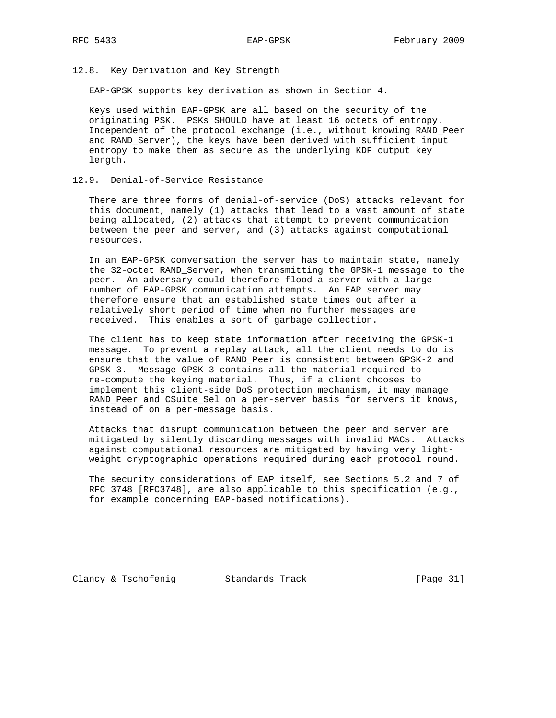12.8. Key Derivation and Key Strength

EAP-GPSK supports key derivation as shown in Section 4.

 Keys used within EAP-GPSK are all based on the security of the originating PSK. PSKs SHOULD have at least 16 octets of entropy. Independent of the protocol exchange (i.e., without knowing RAND\_Peer and RAND\_Server), the keys have been derived with sufficient input entropy to make them as secure as the underlying KDF output key length.

12.9. Denial-of-Service Resistance

 There are three forms of denial-of-service (DoS) attacks relevant for this document, namely (1) attacks that lead to a vast amount of state being allocated, (2) attacks that attempt to prevent communication between the peer and server, and (3) attacks against computational resources.

 In an EAP-GPSK conversation the server has to maintain state, namely the 32-octet RAND\_Server, when transmitting the GPSK-1 message to the peer. An adversary could therefore flood a server with a large number of EAP-GPSK communication attempts. An EAP server may therefore ensure that an established state times out after a relatively short period of time when no further messages are received. This enables a sort of garbage collection.

 The client has to keep state information after receiving the GPSK-1 message. To prevent a replay attack, all the client needs to do is ensure that the value of RAND\_Peer is consistent between GPSK-2 and GPSK-3. Message GPSK-3 contains all the material required to re-compute the keying material. Thus, if a client chooses to implement this client-side DoS protection mechanism, it may manage RAND\_Peer and CSuite\_Sel on a per-server basis for servers it knows, instead of on a per-message basis.

 Attacks that disrupt communication between the peer and server are mitigated by silently discarding messages with invalid MACs. Attacks against computational resources are mitigated by having very light weight cryptographic operations required during each protocol round.

 The security considerations of EAP itself, see Sections 5.2 and 7 of RFC 3748 [RFC3748], are also applicable to this specification (e.g., for example concerning EAP-based notifications).

Clancy & Tschofenig Standards Track [Page 31]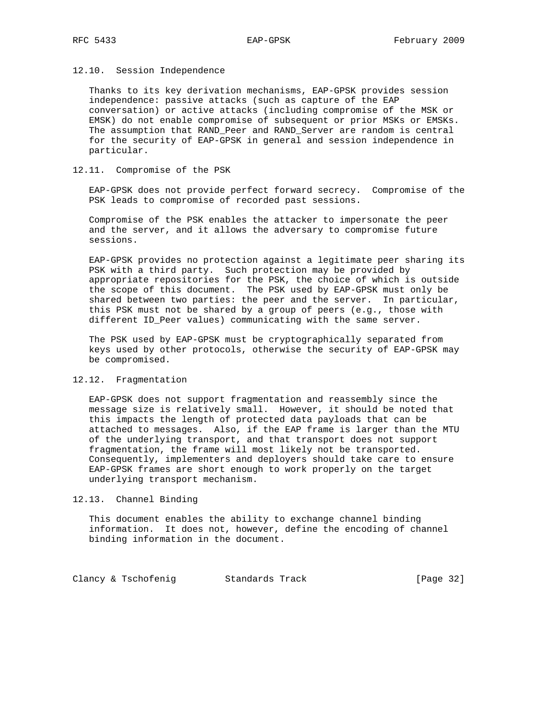## 12.10. Session Independence

 Thanks to its key derivation mechanisms, EAP-GPSK provides session independence: passive attacks (such as capture of the EAP conversation) or active attacks (including compromise of the MSK or EMSK) do not enable compromise of subsequent or prior MSKs or EMSKs. The assumption that RAND\_Peer and RAND\_Server are random is central for the security of EAP-GPSK in general and session independence in particular.

## 12.11. Compromise of the PSK

 EAP-GPSK does not provide perfect forward secrecy. Compromise of the PSK leads to compromise of recorded past sessions.

 Compromise of the PSK enables the attacker to impersonate the peer and the server, and it allows the adversary to compromise future sessions.

 EAP-GPSK provides no protection against a legitimate peer sharing its PSK with a third party. Such protection may be provided by appropriate repositories for the PSK, the choice of which is outside the scope of this document. The PSK used by EAP-GPSK must only be shared between two parties: the peer and the server. In particular, this PSK must not be shared by a group of peers (e.g., those with different ID\_Peer values) communicating with the same server.

 The PSK used by EAP-GPSK must be cryptographically separated from keys used by other protocols, otherwise the security of EAP-GPSK may be compromised.

#### 12.12. Fragmentation

 EAP-GPSK does not support fragmentation and reassembly since the message size is relatively small. However, it should be noted that this impacts the length of protected data payloads that can be attached to messages. Also, if the EAP frame is larger than the MTU of the underlying transport, and that transport does not support fragmentation, the frame will most likely not be transported. Consequently, implementers and deployers should take care to ensure EAP-GPSK frames are short enough to work properly on the target underlying transport mechanism.

#### 12.13. Channel Binding

 This document enables the ability to exchange channel binding information. It does not, however, define the encoding of channel binding information in the document.

Clancy & Tschofenig Standards Track [Page 32]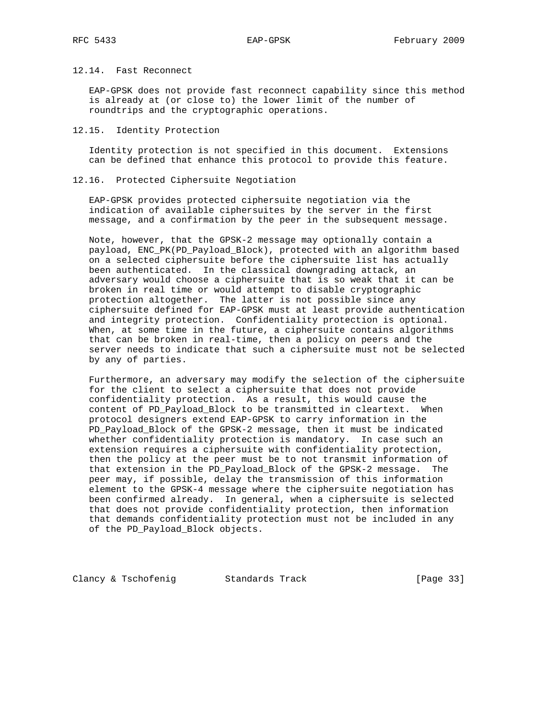# 12.14. Fast Reconnect

 EAP-GPSK does not provide fast reconnect capability since this method is already at (or close to) the lower limit of the number of roundtrips and the cryptographic operations.

## 12.15. Identity Protection

 Identity protection is not specified in this document. Extensions can be defined that enhance this protocol to provide this feature.

## 12.16. Protected Ciphersuite Negotiation

 EAP-GPSK provides protected ciphersuite negotiation via the indication of available ciphersuites by the server in the first message, and a confirmation by the peer in the subsequent message.

 Note, however, that the GPSK-2 message may optionally contain a payload, ENC\_PK(PD\_Payload\_Block), protected with an algorithm based on a selected ciphersuite before the ciphersuite list has actually been authenticated. In the classical downgrading attack, an adversary would choose a ciphersuite that is so weak that it can be broken in real time or would attempt to disable cryptographic protection altogether. The latter is not possible since any ciphersuite defined for EAP-GPSK must at least provide authentication and integrity protection. Confidentiality protection is optional. When, at some time in the future, a ciphersuite contains algorithms that can be broken in real-time, then a policy on peers and the server needs to indicate that such a ciphersuite must not be selected by any of parties.

 Furthermore, an adversary may modify the selection of the ciphersuite for the client to select a ciphersuite that does not provide confidentiality protection. As a result, this would cause the content of PD\_Payload\_Block to be transmitted in cleartext. When protocol designers extend EAP-GPSK to carry information in the PD\_Payload\_Block of the GPSK-2 message, then it must be indicated whether confidentiality protection is mandatory. In case such an extension requires a ciphersuite with confidentiality protection, then the policy at the peer must be to not transmit information of that extension in the PD\_Payload\_Block of the GPSK-2 message. The peer may, if possible, delay the transmission of this information element to the GPSK-4 message where the ciphersuite negotiation has been confirmed already. In general, when a ciphersuite is selected that does not provide confidentiality protection, then information that demands confidentiality protection must not be included in any of the PD\_Payload\_Block objects.

Clancy & Tschofenig Standards Track [Page 33]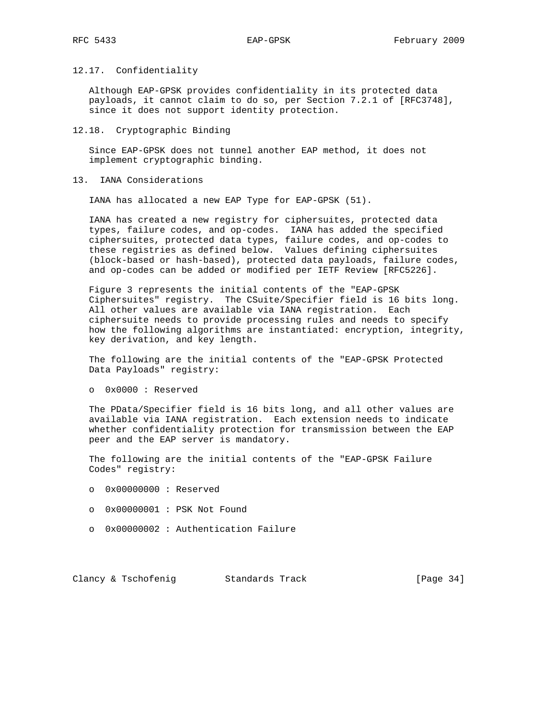# 12.17. Confidentiality

 Although EAP-GPSK provides confidentiality in its protected data payloads, it cannot claim to do so, per Section 7.2.1 of [RFC3748], since it does not support identity protection.

### 12.18. Cryptographic Binding

 Since EAP-GPSK does not tunnel another EAP method, it does not implement cryptographic binding.

## 13. IANA Considerations

IANA has allocated a new EAP Type for EAP-GPSK (51).

 IANA has created a new registry for ciphersuites, protected data types, failure codes, and op-codes. IANA has added the specified ciphersuites, protected data types, failure codes, and op-codes to these registries as defined below. Values defining ciphersuites (block-based or hash-based), protected data payloads, failure codes, and op-codes can be added or modified per IETF Review [RFC5226].

 Figure 3 represents the initial contents of the "EAP-GPSK Ciphersuites" registry. The CSuite/Specifier field is 16 bits long. All other values are available via IANA registration. Each ciphersuite needs to provide processing rules and needs to specify how the following algorithms are instantiated: encryption, integrity, key derivation, and key length.

 The following are the initial contents of the "EAP-GPSK Protected Data Payloads" registry:

o 0x0000 : Reserved

 The PData/Specifier field is 16 bits long, and all other values are available via IANA registration. Each extension needs to indicate whether confidentiality protection for transmission between the EAP peer and the EAP server is mandatory.

 The following are the initial contents of the "EAP-GPSK Failure Codes" registry:

- o 0x00000000 : Reserved
- o 0x00000001 : PSK Not Found
- o 0x00000002 : Authentication Failure

Clancy & Tschofenig Standards Track [Page 34]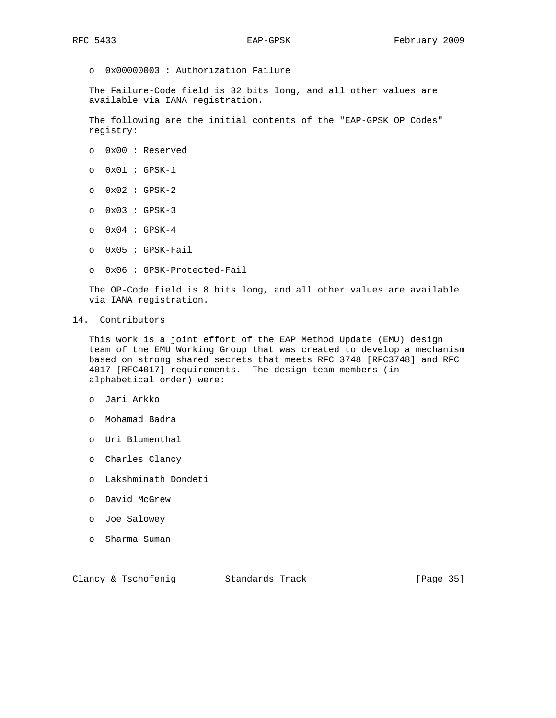o 0x00000003 : Authorization Failure

 The Failure-Code field is 32 bits long, and all other values are available via IANA registration.

 The following are the initial contents of the "EAP-GPSK OP Codes" registry:

- o 0x00 : Reserved
- o 0x01 : GPSK-1
- o 0x02 : GPSK-2
- o 0x03 : GPSK-3
- o 0x04 : GPSK-4
- o 0x05 : GPSK-Fail
- o 0x06 : GPSK-Protected-Fail

 The OP-Code field is 8 bits long, and all other values are available via IANA registration.

14. Contributors

 This work is a joint effort of the EAP Method Update (EMU) design team of the EMU Working Group that was created to develop a mechanism based on strong shared secrets that meets RFC 3748 [RFC3748] and RFC 4017 [RFC4017] requirements. The design team members (in alphabetical order) were:

- o Jari Arkko
- o Mohamad Badra
- o Uri Blumenthal
- o Charles Clancy
- o Lakshminath Dondeti
- o David McGrew
- o Joe Salowey
- o Sharma Suman

Clancy & Tschofenig Standards Track [Page 35]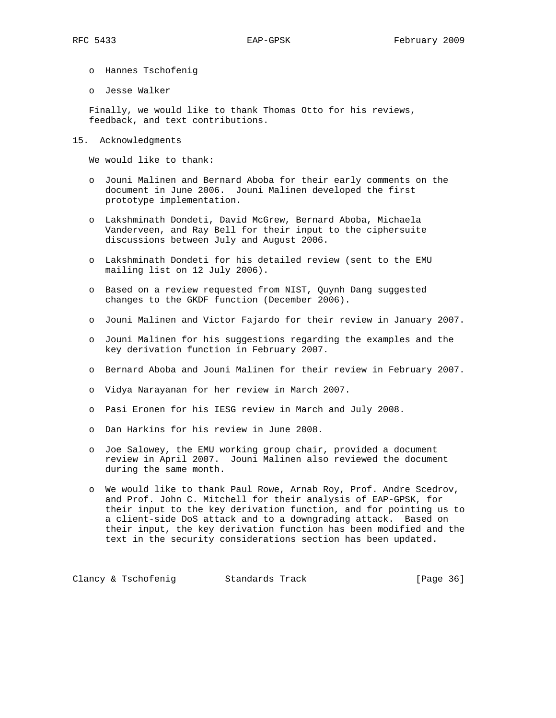- o Hannes Tschofenig
- o Jesse Walker

 Finally, we would like to thank Thomas Otto for his reviews, feedback, and text contributions.

15. Acknowledgments

We would like to thank:

- o Jouni Malinen and Bernard Aboba for their early comments on the document in June 2006. Jouni Malinen developed the first prototype implementation.
- o Lakshminath Dondeti, David McGrew, Bernard Aboba, Michaela Vanderveen, and Ray Bell for their input to the ciphersuite discussions between July and August 2006.
- o Lakshminath Dondeti for his detailed review (sent to the EMU mailing list on 12 July 2006).
- o Based on a review requested from NIST, Quynh Dang suggested changes to the GKDF function (December 2006).
- o Jouni Malinen and Victor Fajardo for their review in January 2007.
- o Jouni Malinen for his suggestions regarding the examples and the key derivation function in February 2007.
- o Bernard Aboba and Jouni Malinen for their review in February 2007.
- o Vidya Narayanan for her review in March 2007.
- o Pasi Eronen for his IESG review in March and July 2008.
- o Dan Harkins for his review in June 2008.
- o Joe Salowey, the EMU working group chair, provided a document review in April 2007. Jouni Malinen also reviewed the document during the same month.
- o We would like to thank Paul Rowe, Arnab Roy, Prof. Andre Scedrov, and Prof. John C. Mitchell for their analysis of EAP-GPSK, for their input to the key derivation function, and for pointing us to a client-side DoS attack and to a downgrading attack. Based on their input, the key derivation function has been modified and the text in the security considerations section has been updated.

Clancy & Tschofenig Standards Track [Page 36]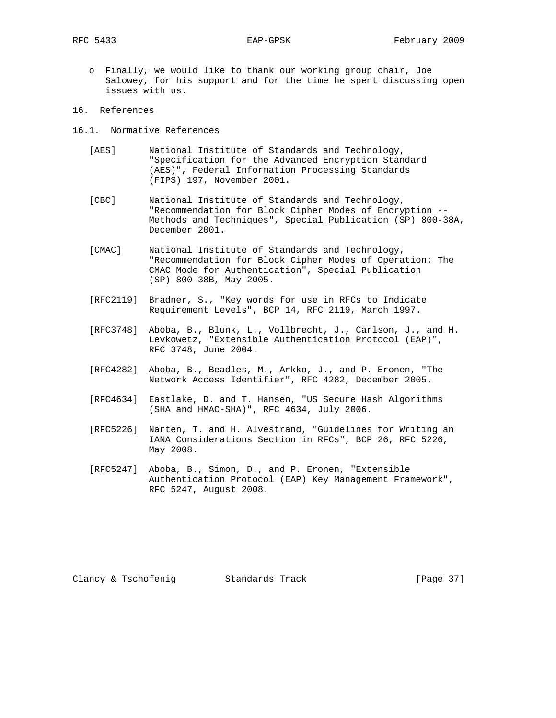o Finally, we would like to thank our working group chair, Joe Salowey, for his support and for the time he spent discussing open issues with us.

## 16. References

- 16.1. Normative References
	- [AES] National Institute of Standards and Technology, "Specification for the Advanced Encryption Standard (AES)", Federal Information Processing Standards (FIPS) 197, November 2001.
	- [CBC] National Institute of Standards and Technology, "Recommendation for Block Cipher Modes of Encryption -- Methods and Techniques", Special Publication (SP) 800-38A, December 2001.
	- [CMAC] National Institute of Standards and Technology, "Recommendation for Block Cipher Modes of Operation: The CMAC Mode for Authentication", Special Publication (SP) 800-38B, May 2005.
	- [RFC2119] Bradner, S., "Key words for use in RFCs to Indicate Requirement Levels", BCP 14, RFC 2119, March 1997.
	- [RFC3748] Aboba, B., Blunk, L., Vollbrecht, J., Carlson, J., and H. Levkowetz, "Extensible Authentication Protocol (EAP)", RFC 3748, June 2004.
	- [RFC4282] Aboba, B., Beadles, M., Arkko, J., and P. Eronen, "The Network Access Identifier", RFC 4282, December 2005.
	- [RFC4634] Eastlake, D. and T. Hansen, "US Secure Hash Algorithms (SHA and HMAC-SHA)", RFC 4634, July 2006.
	- [RFC5226] Narten, T. and H. Alvestrand, "Guidelines for Writing an IANA Considerations Section in RFCs", BCP 26, RFC 5226, May 2008.
	- [RFC5247] Aboba, B., Simon, D., and P. Eronen, "Extensible Authentication Protocol (EAP) Key Management Framework", RFC 5247, August 2008.

Clancy & Tschofenig Standards Track [Page 37]